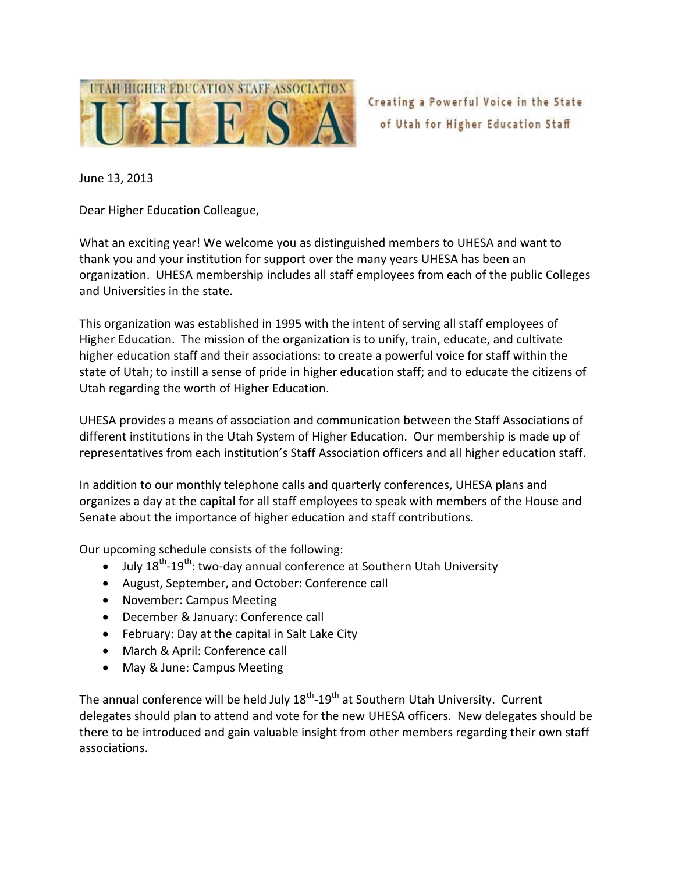

June 13, 2013

Dear Higher Education Colleague,

What an exciting year! We welcome you as distinguished members to UHESA and want to thank you and your institution for support over the many years UHESA has been an organization. UHESA membership includes all staff employees from each of the public Colleges and Universities in the state.

This organization was established in 1995 with the intent of serving all staff employees of Higher Education. The mission of the organization is to unify, train, educate, and cultivate higher education staff and their associations: to create a powerful voice for staff within the state of Utah; to instill a sense of pride in higher education staff; and to educate the citizens of Utah regarding the worth of Higher Education.

UHESA provides a means of association and communication between the Staff Associations of different institutions in the Utah System of Higher Education. Our membership is made up of representatives from each institution's Staff Association officers and all higher education staff.

In addition to our monthly telephone calls and quarterly conferences, UHESA plans and organizes a day at the capital for all staff employees to speak with members of the House and Senate about the importance of higher education and staff contributions.

Our upcoming schedule consists of the following:

- $\bullet$  July 18<sup>th</sup>-19<sup>th</sup>: two-day annual conference at Southern Utah University
- August, September, and October: Conference call
- November: Campus Meeting
- December & January: Conference call
- February: Day at the capital in Salt Lake City
- March & April: Conference call
- May & June: Campus Meeting

The annual conference will be held July 18<sup>th</sup>-19<sup>th</sup> at Southern Utah University. Current delegates should plan to attend and vote for the new UHESA officers. New delegates should be there to be introduced and gain valuable insight from other members regarding their own staff associations.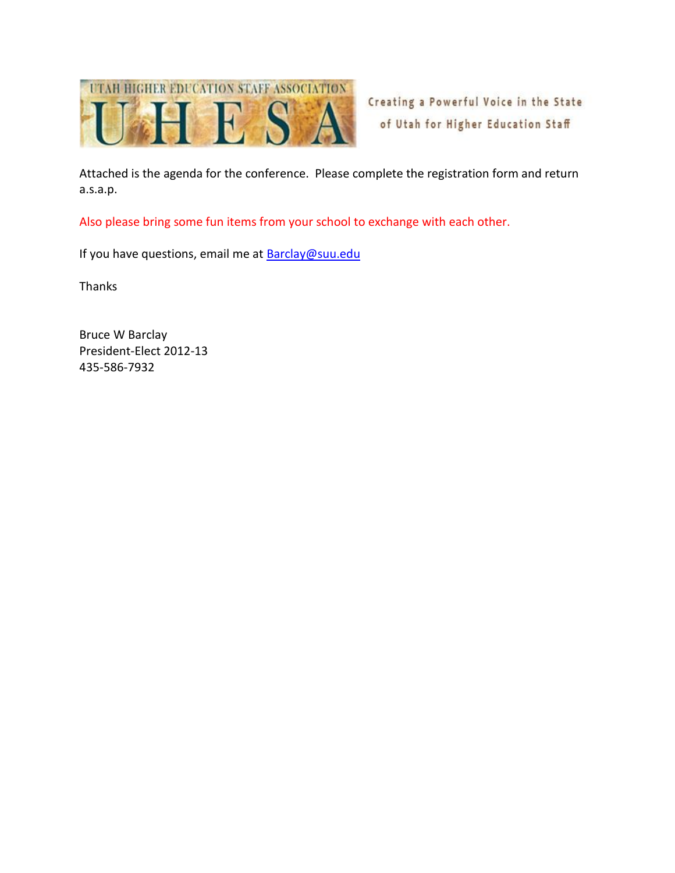

Attached is the agenda for the conference. Please complete the registration form and return a.s.a.p.

Also please bring some fun items from your school to exchange with each other.

If you have questions, email me at **Barclay@suu.edu** 

Thanks

Bruce W Barclay President-Elect 2012-13 435-586-7932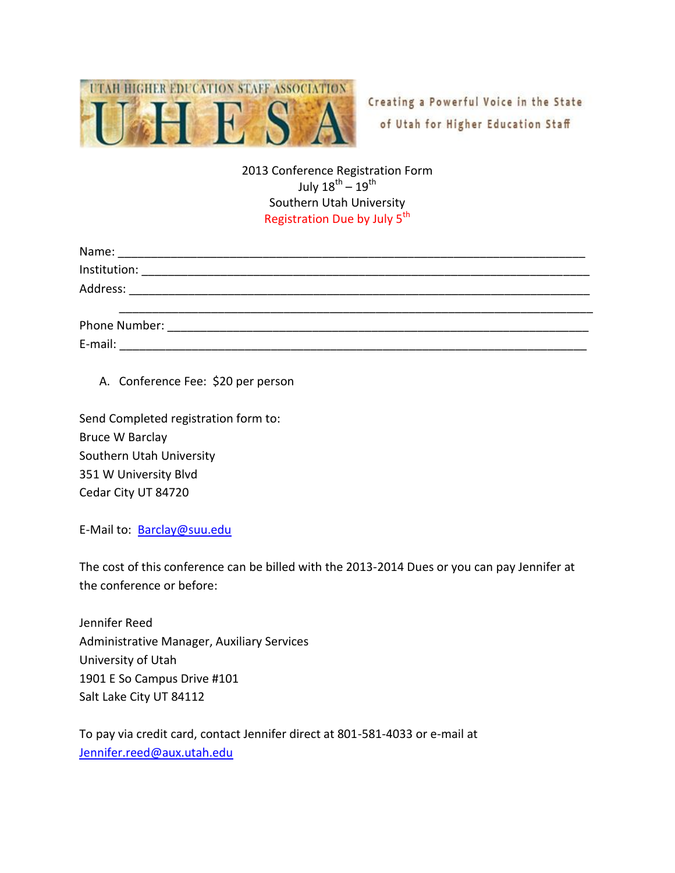

## 2013 Conference Registration Form July 18 $^{\rm th}$  – 19 $^{\rm th}$ Southern Utah University Registration Due by July 5<sup>th</sup>

| Name:         |                                                                                                                      |  |  |
|---------------|----------------------------------------------------------------------------------------------------------------------|--|--|
| Institution:  |                                                                                                                      |  |  |
| Address:      | <u> 1980 - Jan Stein Stein Stein Stein Stein Stein Stein Stein Stein Stein Stein Stein Stein Stein Stein Stein S</u> |  |  |
| Phone Number: |                                                                                                                      |  |  |
| E-mail:       |                                                                                                                      |  |  |

## A. Conference Fee: \$20 per person

Send Completed registration form to: Bruce W Barclay Southern Utah University 351 W University Blvd Cedar City UT 84720

E-Mail to: [Barclay@suu.edu](mailto:Barclay@suu.edu)

The cost of this conference can be billed with the 2013-2014 Dues or you can pay Jennifer at the conference or before:

Jennifer Reed Administrative Manager, Auxiliary Services University of Utah 1901 E So Campus Drive #101 Salt Lake City UT 84112

To pay via credit card, contact Jennifer direct at 801-581-4033 or e-mail at [Jennifer.reed@aux.utah.edu](mailto:Jennifer.reed@aux.utah.edu)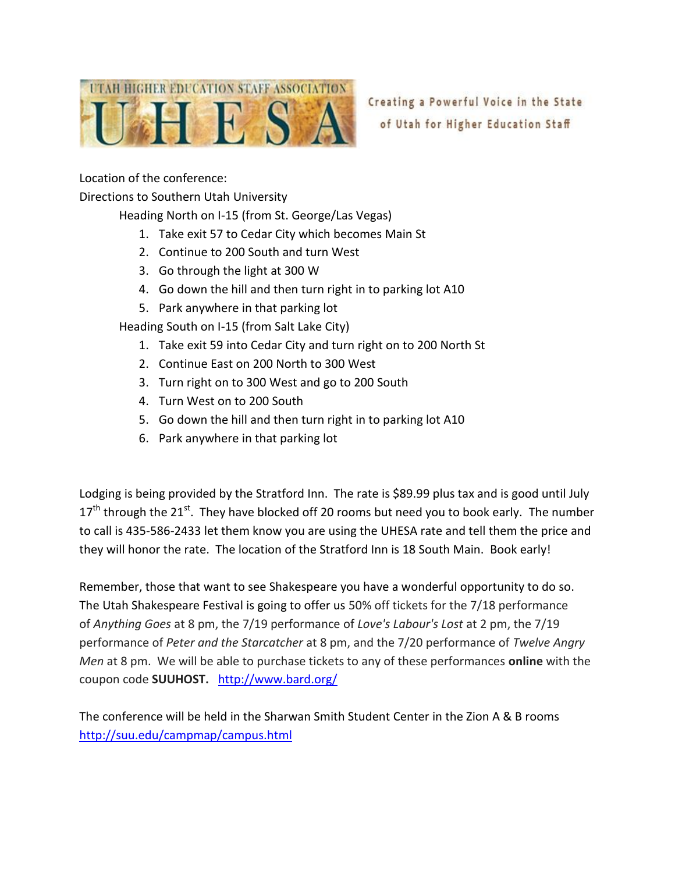

Location of the conference:

Directions to Southern Utah University

Heading North on I-15 (from St. George/Las Vegas)

- 1. Take exit 57 to Cedar City which becomes Main St
- 2. Continue to 200 South and turn West
- 3. Go through the light at 300 W
- 4. Go down the hill and then turn right in to parking lot A10
- 5. Park anywhere in that parking lot

Heading South on I-15 (from Salt Lake City)

- 1. Take exit 59 into Cedar City and turn right on to 200 North St
- 2. Continue East on 200 North to 300 West
- 3. Turn right on to 300 West and go to 200 South
- 4. Turn West on to 200 South
- 5. Go down the hill and then turn right in to parking lot A10
- 6. Park anywhere in that parking lot

Lodging is being provided by the Stratford Inn. The rate is \$89.99 plus tax and is good until July  $17<sup>th</sup>$  through the 21<sup>st</sup>. They have blocked off 20 rooms but need you to book early. The number to call is 435-586-2433 let them know you are using the UHESA rate and tell them the price and they will honor the rate. The location of the Stratford Inn is 18 South Main. Book early!

Remember, those that want to see Shakespeare you have a wonderful opportunity to do so. The Utah Shakespeare Festival is going to offer us 50% off tickets for the 7/18 performance of *Anything Goes* at 8 pm, the 7/19 performance of *Love's Labour's Lost* at 2 pm, the 7/19 performance of *Peter and the Starcatcher* at 8 pm, and the 7/20 performance of *Twelve Angry Men* at 8 pm. We will be able to purchase tickets to any of these performances **online** with the coupon code **SUUHOST.** <http://www.bard.org/>

The conference will be held in the Sharwan Smith Student Center in the Zion A & B rooms <http://suu.edu/campmap/campus.html>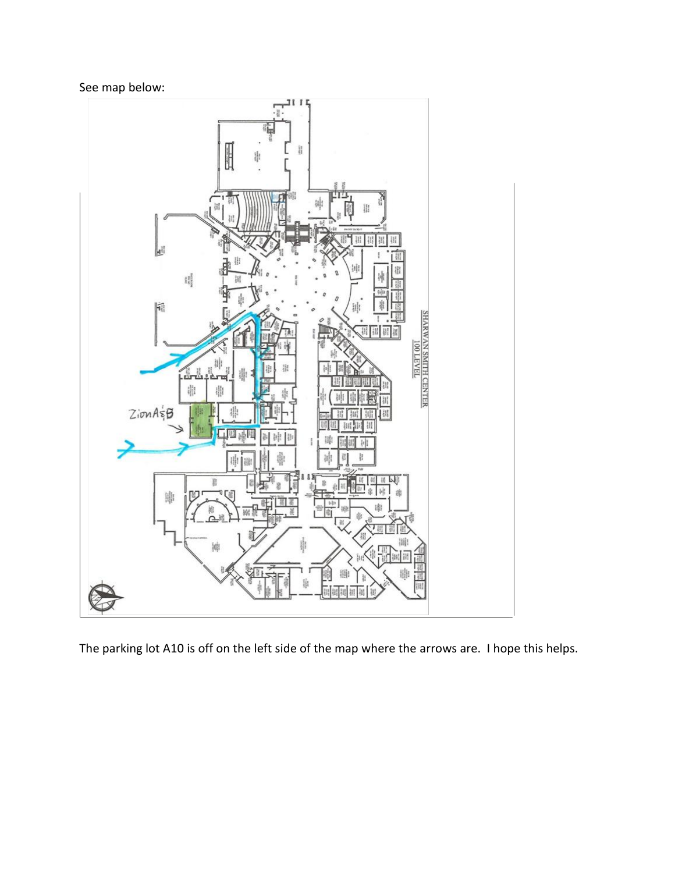See map below:



The parking lot A10 is off on the left side of the map where the arrows are. I hope this helps.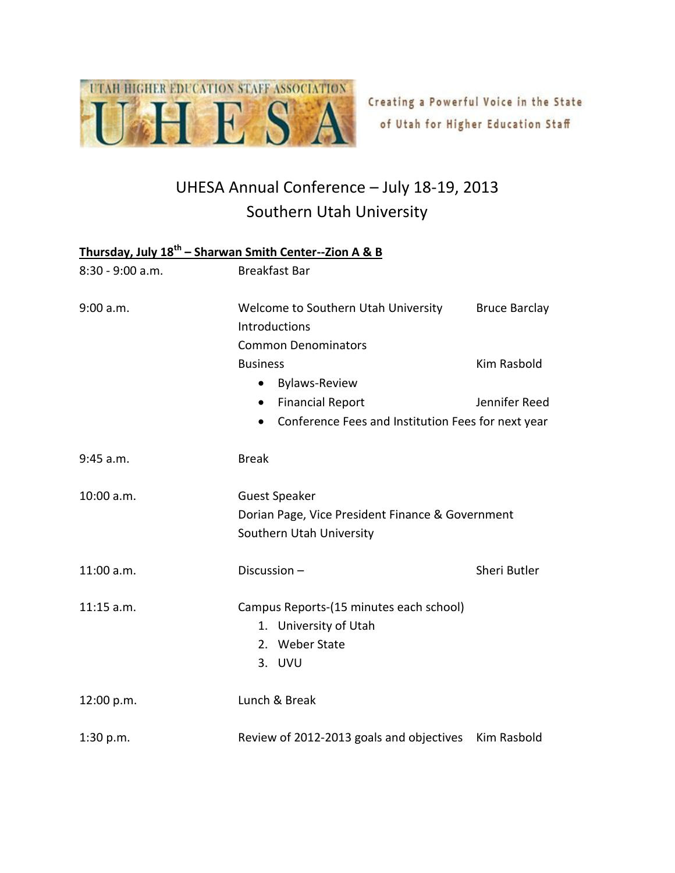

## UHESA Annual Conference – July 18-19, 2013 Southern Utah University

## **Thursday, July 18th – Sharwan Smith Center--Zion A & B**

| 8:30 - 9:00 a.m. | <b>Breakfast Bar</b>                                                                                        |              |  |
|------------------|-------------------------------------------------------------------------------------------------------------|--------------|--|
| 9:00 a.m.        | Welcome to Southern Utah University<br><b>Bruce Barclay</b><br>Introductions<br><b>Common Denominators</b>  |              |  |
|                  | <b>Business</b><br><b>Bylaws-Review</b><br>$\bullet$                                                        | Kim Rasbold  |  |
|                  | Jennifer Reed<br><b>Financial Report</b><br>$\bullet$<br>Conference Fees and Institution Fees for next year |              |  |
| 9:45 a.m.        | <b>Break</b>                                                                                                |              |  |
| 10:00 a.m.       | <b>Guest Speaker</b><br>Dorian Page, Vice President Finance & Government<br>Southern Utah University        |              |  |
| 11:00 a.m.       | Discussion-                                                                                                 | Sheri Butler |  |
| 11:15 a.m.       | Campus Reports-(15 minutes each school)<br>1. University of Utah<br>2. Weber State<br>3. UVU                |              |  |
| 12:00 p.m.       | Lunch & Break                                                                                               |              |  |
| 1:30 p.m.        | Review of 2012-2013 goals and objectives                                                                    | Kim Rasbold  |  |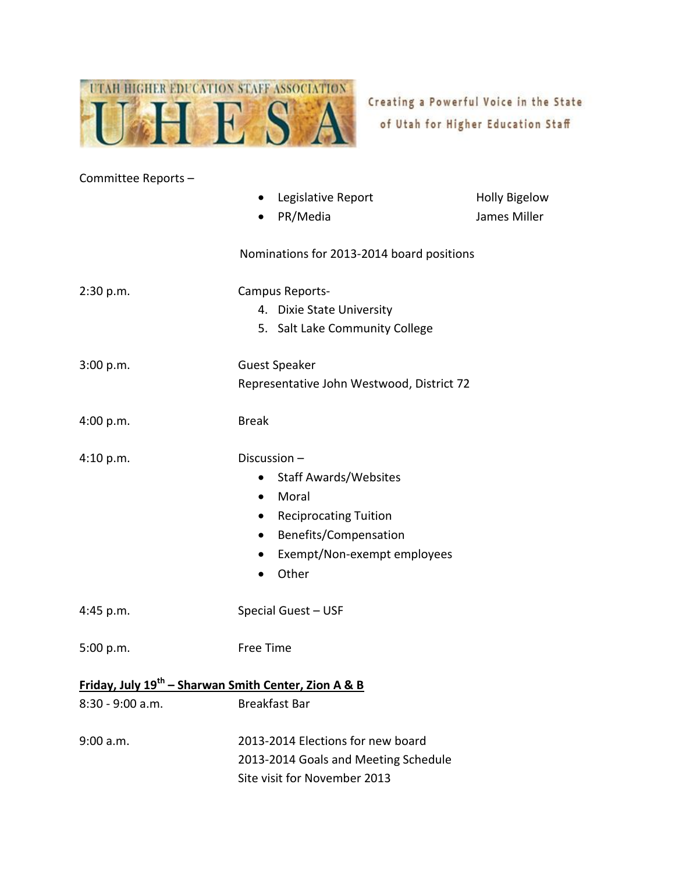

| Committee Reports-                                               |                                           |                      |
|------------------------------------------------------------------|-------------------------------------------|----------------------|
|                                                                  | Legislative Report<br>$\bullet$           | <b>Holly Bigelow</b> |
|                                                                  | PR/Media<br>$\bullet$                     | James Miller         |
|                                                                  |                                           |                      |
|                                                                  | Nominations for 2013-2014 board positions |                      |
|                                                                  |                                           |                      |
| 2:30 p.m.                                                        | Campus Reports-                           |                      |
|                                                                  | 4. Dixie State University                 |                      |
|                                                                  | 5. Salt Lake Community College            |                      |
| 3:00 p.m.                                                        | <b>Guest Speaker</b>                      |                      |
|                                                                  | Representative John Westwood, District 72 |                      |
|                                                                  |                                           |                      |
| 4:00 p.m.                                                        | <b>Break</b>                              |                      |
|                                                                  |                                           |                      |
| 4:10 p.m.                                                        | Discussion-                               |                      |
|                                                                  | <b>Staff Awards/Websites</b><br>$\bullet$ |                      |
|                                                                  | Moral<br>$\bullet$                        |                      |
|                                                                  | <b>Reciprocating Tuition</b><br>$\bullet$ |                      |
|                                                                  | Benefits/Compensation<br>$\bullet$        |                      |
|                                                                  | Exempt/Non-exempt employees<br>$\bullet$  |                      |
|                                                                  | Other<br>$\bullet$                        |                      |
|                                                                  |                                           |                      |
| 4:45 p.m.                                                        | Special Guest - USF                       |                      |
| 5:00 p.m.                                                        | Free Time                                 |                      |
|                                                                  |                                           |                      |
| Friday, July 19 <sup>th</sup> – Sharwan Smith Center, Zion A & B |                                           |                      |
| $8:30 - 9:00$ a.m.                                               | <b>Breakfast Bar</b>                      |                      |
|                                                                  |                                           |                      |
| 9:00 a.m.                                                        | 2013-2014 Elections for new board         |                      |
|                                                                  | 2013-2014 Goals and Meeting Schedule      |                      |
|                                                                  | Site visit for November 2013              |                      |